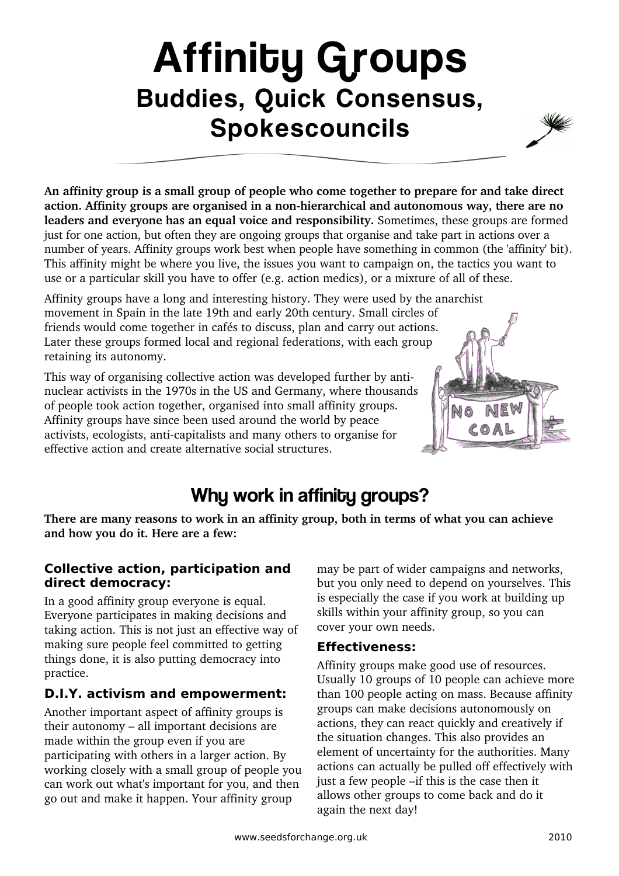# Affinity Groups Buddies, Quick Consensus, Spokescouncils



**An affinity group is a small group of people who come together to prepare for and take direct** action. Affinity groups are organised in a non-hierarchical and autonomous way, there are no **leaders and everyone has an equal voice and responsibility.** Sometimes, these groups are formed just for one action, but often they are ongoing groups that organise and take part in actions over a number of years. Affinity groups work best when people have something in common (the 'affinity' bit). This affinity might be where you live, the issues you want to campaign on, the tactics you want to use or a particular skill you have to offer (e.g. action medics), or a mixture of all of these.

Affinity groups have a long and interesting history. They were used by the anarchist movement in Spain in the late 19th and early 20th century. Small circles of friends would come together in cafés to discuss, plan and carry out actions. Later these groups formed local and regional federations, with each group retaining its autonomy.

This way of organising collective action was developed further by antinuclear activists in the 1970s in the US and Germany, where thousands of people took action together, organised into small affinity groups. Affinity groups have since been used around the world by peace activists, ecologists, anti-capitalists and many others to organise for effective action and create alternative social structures.



# Why work in affinity groups?

**There are many reasons to work in an affinity group, both in terms of what you can achieve and how you do it. Here are a few:**

### **Collective action, participation and direct democracy:**

In a good affinity group everyone is equal. Everyone participates in making decisions and taking action. This is not just an effective way of making sure people feel committed to getting things done, it is also putting democracy into practice.

### **D.I.Y. activism and empowerment:**

Another important aspect of affinity groups is their autonomy – all important decisions are made within the group even if you are participating with others in a larger action. By working closely with a small group of people you can work out what's important for you, and then go out and make it happen. Your affinity group

may be part of wider campaigns and networks, but you only need to depend on yourselves. This is especially the case if you work at building up skills within your affinity group, so you can cover your own needs.

### **Effectiveness:**

Affinity groups make good use of resources. Usually 10 groups of 10 people can achieve more than 100 people acting on mass. Because affinity groups can make decisions autonomously on actions, they can react quickly and creatively if the situation changes. This also provides an element of uncertainty for the authorities. Many actions can actually be pulled off effectively with just a few people –if this is the case then it allows other groups to come back and do it again the next day!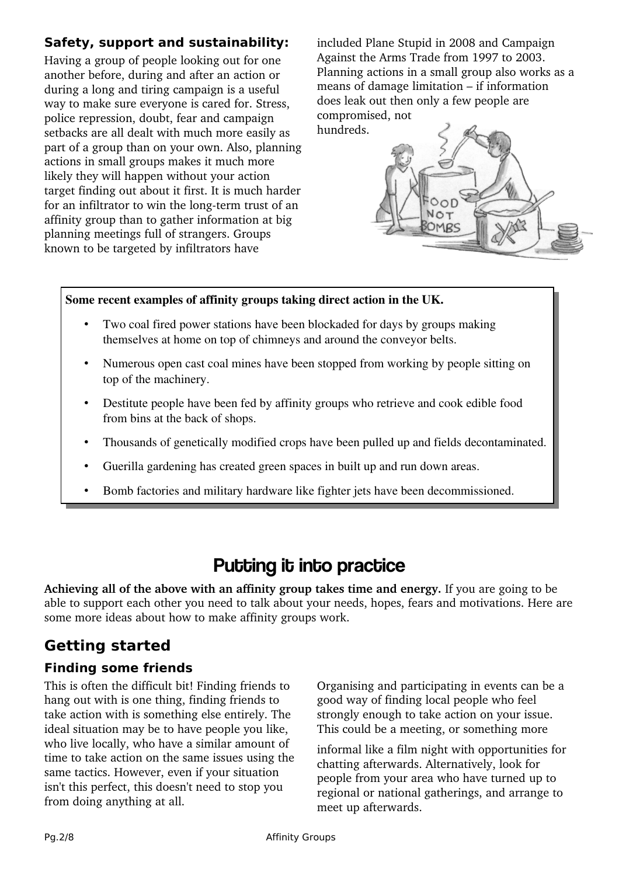### **Safety, support and sustainability:**

Having a group of people looking out for one another before, during and after an action or during a long and tiring campaign is a useful way to make sure everyone is cared for. Stress, police repression, doubt, fear and campaign setbacks are all dealt with much more easily as part of a group than on your own. Also, planning actions in small groups makes it much more likely they will happen without your action target finding out about it first. It is much harder for an infiltrator to win the long-term trust of an affinity group than to gather information at big planning meetings full of strangers. Groups known to be targeted by infiltrators have

included Plane Stupid in 2008 and Campaign Against the Arms Trade from 1997 to 2003. Planning actions in a small group also works as a means of damage limitation – if information does leak out then only a few people are compromised, not hundreds.



#### Some recent examples of affinity groups taking direct action in the UK.

- Two coal fired power stations have been blockaded for days by groups making themselves at home on top of chimneys and around the conveyor belts.
- Numerous open cast coal mines have been stopped from working by people sitting on top of the machinery.
- Destitute people have been fed by affinity groups who retrieve and cook edible food from bins at the back of shops.
- Thousands of genetically modified crops have been pulled up and fields decontaminated.
- Guerilla gardening has created green spaces in built up and run down areas.
- Bomb factories and military hardware like fighter jets have been decommissioned.

## Putting it into practice

**Achieving all of the above with an affinity group takes time and energy.** If you are going to be able to support each other you need to talk about your needs, hopes, fears and motivations. Here are some more ideas about how to make affinity groups work.

### **Getting started**

### **Finding some friends**

This is often the difficult bit! Finding friends to hang out with is one thing, finding friends to take action with is something else entirely. The ideal situation may be to have people you like, who live locally, who have a similar amount of time to take action on the same issues using the same tactics. However, even if your situation isn't this perfect, this doesn't need to stop you from doing anything at all.

Organising and participating in events can be a good way of finding local people who feel strongly enough to take action on your issue. This could be a meeting, or something more

informal like a film night with opportunities for chatting afterwards. Alternatively, look for people from your area who have turned up to regional or national gatherings, and arrange to meet up afterwards.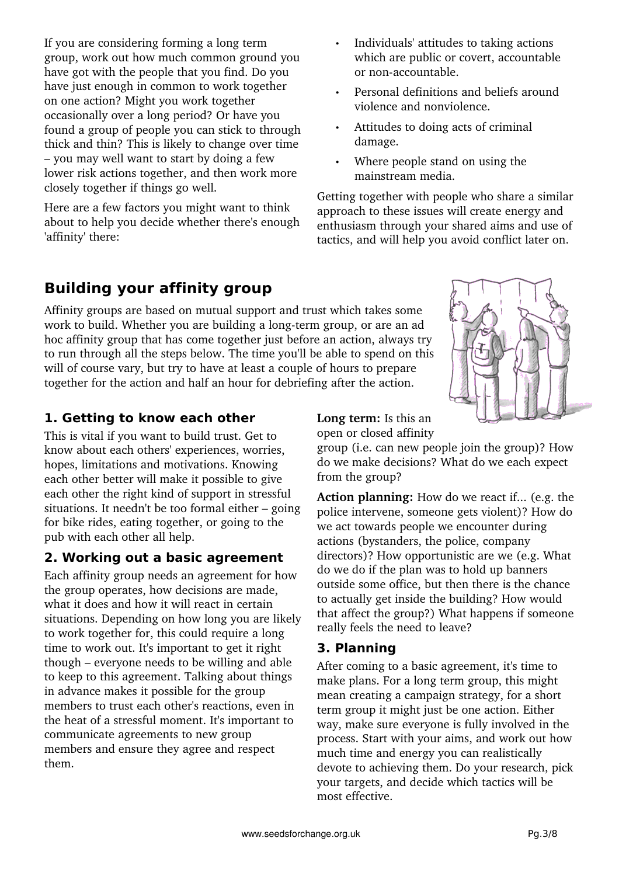If you are considering forming a long term group, work out how much common ground you have got with the people that you find. Do you have just enough in common to work together on one action? Might you work together occasionally over a long period? Or have you found a group of people you can stick to through thick and thin? This is likely to change over time – you may well want to start by doing a few lower risk actions together, and then work more closely together if things go well.

Here are a few factors you might want to think about to help you decide whether there's enough 'affinity' there:

- Individuals' attitudes to taking actions which are public or covert, accountable or non-accountable.
- Personal definitions and beliefs around violence and nonviolence.
- Attitudes to doing acts of criminal damage.
- Where people stand on using the mainstream media.

Getting together with people who share a similar approach to these issues will create energy and enthusiasm through your shared aims and use of tactics, and will help you avoid conflict later on.

# **Building your affinity group**

Affinity groups are based on mutual support and trust which takes some work to build. Whether you are building a long-term group, or are an ad hoc affinity group that has come together just before an action, always try to run through all the steps below. The time you'll be able to spend on this will of course vary, but try to have at least a couple of hours to prepare together for the action and half an hour for debriefing after the action.

### **1. Getting to know each other**

This is vital if you want to build trust. Get to know about each others' experiences, worries, hopes, limitations and motivations. Knowing each other better will make it possible to give each other the right kind of support in stressful situations. It needn't be too formal either – going for bike rides, eating together, or going to the pub with each other all help.

### **2. Working out a basic agreement**

Each affinity group needs an agreement for how the group operates, how decisions are made, what it does and how it will react in certain situations. Depending on how long you are likely to work together for, this could require a long time to work out. It's important to get it right though – everyone needs to be willing and able to keep to this agreement. Talking about things in advance makes it possible for the group members to trust each other's reactions, even in the heat of a stressful moment. It's important to communicate agreements to new group members and ensure they agree and respect them.

**Long term:** Is this an open or closed affinity

group (i.e. can new people join the group)? How do we make decisions? What do we each expect from the group?

**Action planning:** How do we react if... (e.g. the police intervene, someone gets violent)? How do we act towards people we encounter during actions (bystanders, the police, company directors)? How opportunistic are we (e.g. What do we do if the plan was to hold up banners outside some office, but then there is the chance to actually get inside the building? How would that affect the group?) What happens if someone really feels the need to leave?

### **3. Planning**

After coming to a basic agreement, it's time to make plans. For a long term group, this might mean creating a campaign strategy, for a short term group it might just be one action. Either way, make sure everyone is fully involved in the process. Start with your aims, and work out how much time and energy you can realistically devote to achieving them. Do your research, pick your targets, and decide which tactics will be most effective.

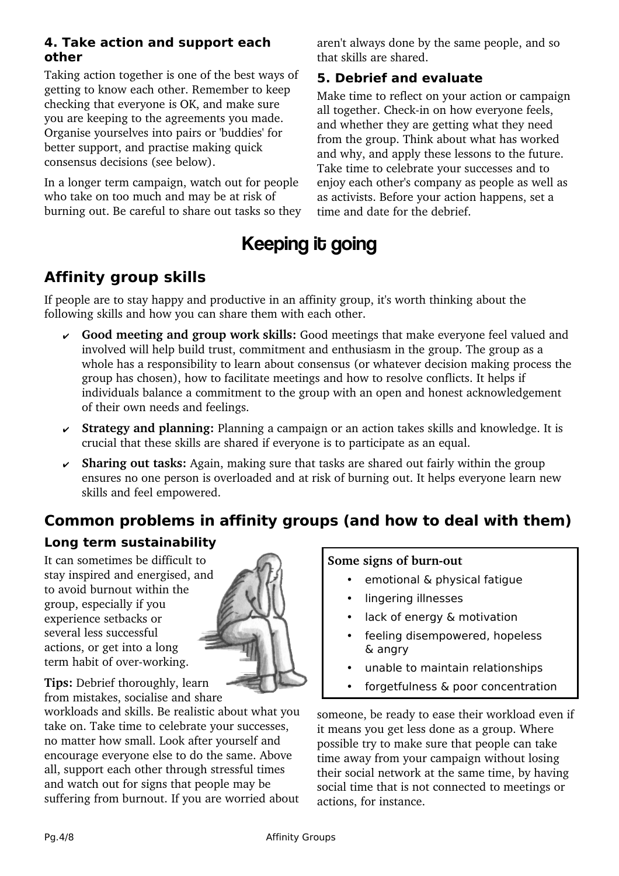#### **4. Take action and support each other**

Taking action together is one of the best ways of getting to know each other. Remember to keep checking that everyone is OK, and make sure you are keeping to the agreements you made. Organise yourselves into pairs or 'buddies' for better support, and practise making quick consensus decisions (see below).

In a longer term campaign, watch out for people who take on too much and may be at risk of burning out. Be careful to share out tasks so they aren't always done by the same people, and so that skills are shared.

### **5. Debrief and evaluate**

Make time to reflect on your action or campaign all together. Check-in on how everyone feels, and whether they are getting what they need from the group. Think about what has worked and why, and apply these lessons to the future. Take time to celebrate your successes and to enjoy each other's company as people as well as as activists. Before your action happens, set a time and date for the debrief.

# Keeping it going

### **Affinity group skills**

If people are to stay happy and productive in an affinity group, it's worth thinking about the following skills and how you can share them with each other.

- ✔ **Good meeting and group work skills:** Good meetings that make everyone feel valued and involved will help build trust, commitment and enthusiasm in the group. The group as a whole has a responsibility to learn about consensus (or whatever decision making process the group has chosen), how to facilitate meetings and how to resolve conflicts. It helps if individuals balance a commitment to the group with an open and honest acknowledgement of their own needs and feelings.
- ✔ **Strategy and planning:** Planning a campaign or an action takes skills and knowledge. It is crucial that these skills are shared if everyone is to participate as an equal.
- ✔ **Sharing out tasks:** Again, making sure that tasks are shared out fairly within the group ensures no one person is overloaded and at risk of burning out. It helps everyone learn new skills and feel empowered.

### **Common problems in affinity groups (and how to deal with them)**

### **Long term sustainability**

It can sometimes be difficult to stay inspired and energised, and to avoid burnout within the group, especially if you experience setbacks or several less successful actions, or get into a long term habit of over-working.



**Tips:** Debrief thoroughly, learn from mistakes, socialise and share

workloads and skills. Be realistic about what you take on. Take time to celebrate your successes, no matter how small. Look after yourself and encourage everyone else to do the same. Above all, support each other through stressful times and watch out for signs that people may be suffering from burnout. If you are worried about

#### **Some signs of burn-out**

- emotional & physical fatique
- lingering illnesses
- lack of energy & motivation
- feeling disempowered, hopeless & angry
- unable to maintain relationships
- forgetfulness & poor concentration

someone, be ready to ease their workload even if it means you get less done as a group. Where possible try to make sure that people can take time away from your campaign without losing their social network at the same time, by having social time that is not connected to meetings or actions, for instance.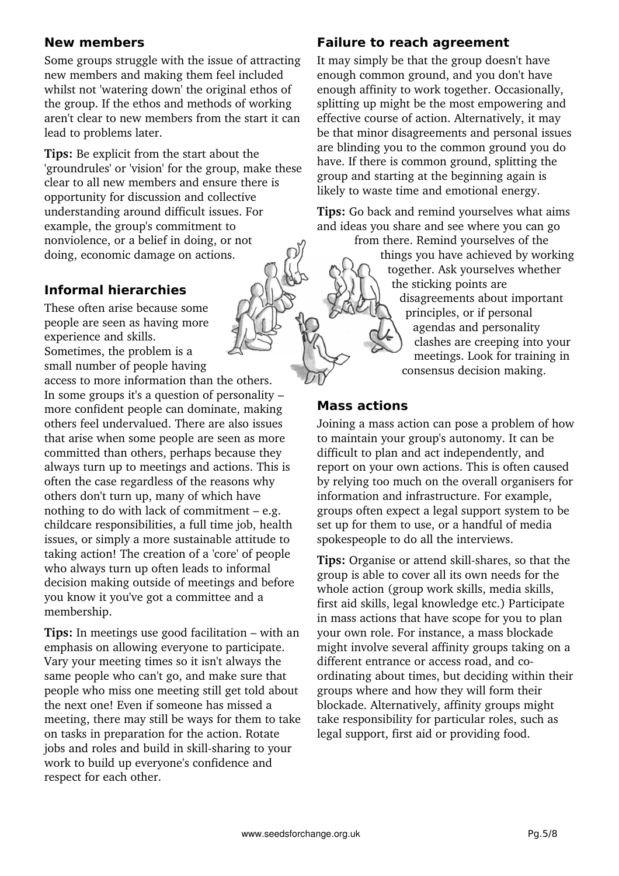#### **New members**

Some groups struggle with the issue of attracting new members and making them feel included whilst not 'watering down' the original ethos of the group. If the ethos and methods of working aren't clear to new members from the start it can lead to problems later.

**Tips:** Be explicit from the start about the 'groundrules' or 'vision' for the group, make these clear to all new members and ensure there is opportunity for discussion and collective understanding around difficult issues. For example, the group's commitment to nonviolence, or a belief in doing, or not doing, economic damage on actions.

#### **Informal hierarchies**

These often arise because some people are seen as having more experience and skills. Sometimes, the problem is a small number of people having

access to more information than the others. In some groups it's a question of personality – more confident people can dominate, making others feel undervalued. There are also issues that arise when some people are seen as more committed than others, perhaps because they always turn up to meetings and actions. This is often the case regardless of the reasons why others don't turn up, many of which have nothing to do with lack of commitment – e.g. childcare responsibilities, a full time job, health issues, or simply a more sustainable attitude to taking action! The creation of a 'core' of people who always turn up often leads to informal decision making outside of meetings and before you know it you've got a committee and a membership.

**Tips:** In meetings use good facilitation – with an emphasis on allowing everyone to participate. Vary your meeting times so it isn't always the same people who can't go, and make sure that people who miss one meeting still get told about the next one! Even if someone has missed a meeting, there may still be ways for them to take on tasks in preparation for the action. Rotate jobs and roles and build in skill-sharing to your work to build up everyone's confidence and respect for each other.

#### **Failure to reach agreement**

It may simply be that the group doesn't have enough common ground, and you don't have enough affinity to work together. Occasionally, splitting up might be the most empowering and effective course of action. Alternatively, it may be that minor disagreements and personal issues are blinding you to the common ground you do have. If there is common ground, splitting the group and starting at the beginning again is likely to waste time and emotional energy.

**Tips:** Go back and remind yourselves what aims and ideas you share and see where you can go

> from there. Remind yourselves of the things you have achieved by working together. Ask yourselves whether the sticking points are disagreements about important principles, or if personal agendas and personality clashes are creeping into your meetings. Look for training in consensus decision making.

#### **Mass actions**

Joining a mass action can pose a problem of how to maintain your group's autonomy. It can be difficult to plan and act independently, and report on your own actions. This is often caused by relying too much on the overall organisers for information and infrastructure. For example, groups often expect a legal support system to be set up for them to use, or a handful of media spokespeople to do all the interviews.

**Tips:** Organise or attend skill-shares, so that the group is able to cover all its own needs for the whole action (group work skills, media skills, first aid skills, legal knowledge etc.) Participate in mass actions that have scope for you to plan your own role. For instance, a mass blockade might involve several affinity groups taking on a different entrance or access road, and coordinating about times, but deciding within their groups where and how they will form their blockade. Alternatively, affinity groups might take responsibility for particular roles, such as legal support, first aid or providing food.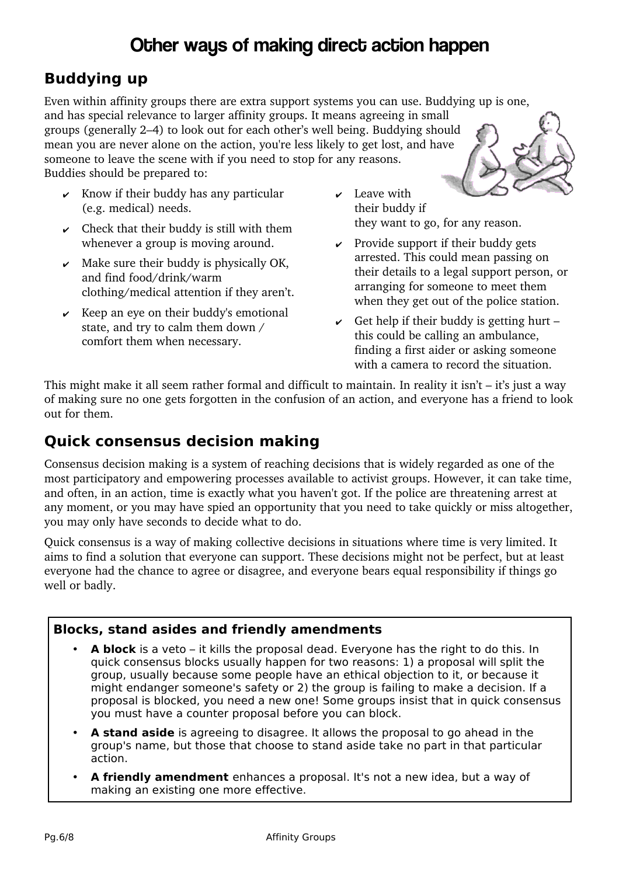# Other ways of making direct action happen

### **Buddying up**

Even within affinity groups there are extra support systems you can use. Buddying up is one, and has special relevance to larger affinity groups. It means agreeing in small groups (generally 2–4) to look out for each other's well being. Buddying should mean you are never alone on the action, you're less likely to get lost, and have someone to leave the scene with if you need to stop for any reasons. Buddies should be prepared to:

- $\mathbf{\nabla}$  Know if their buddy has any particular (e.g. medical) needs.
- $\vee$  Check that their buddy is still with them whenever a group is moving around.
- $\boldsymbol{\nu}$  Make sure their buddy is physically OK, and find food/drink/warm clothing/medical attention if they aren't.
- $\overline{\phantom{a}}$  Keep an eye on their buddy's emotional state, and try to calm them down / comfort them when necessary.
- $\mathbf{\nu}$  Leave with their buddy if they want to go, for any reason.
- $\vee$  Provide support if their buddy gets arrested. This could mean passing on their details to a legal support person, or arranging for someone to meet them when they get out of the police station.
- $\vee$  Get help if their buddy is getting hurt this could be calling an ambulance, finding a first aider or asking someone with a camera to record the situation.

This might make it all seem rather formal and difficult to maintain. In reality it isn't – it's just a way of making sure no one gets forgotten in the confusion of an action, and everyone has a friend to look out for them.

### **Quick consensus decision making**

Consensus decision making is a system of reaching decisions that is widely regarded as one of the most participatory and empowering processes available to activist groups. However, it can take time, and often, in an action, time is exactly what you haven't got. If the police are threatening arrest at any moment, or you may have spied an opportunity that you need to take quickly or miss altogether, you may only have seconds to decide what to do.

Quick consensus is a way of making collective decisions in situations where time is very limited. It aims to find a solution that everyone can support. These decisions might not be perfect, but at least everyone had the chance to agree or disagree, and everyone bears equal responsibility if things go well or badly.

### **Blocks, stand asides and friendly amendments**

- **A block** is a veto it kills the proposal dead. Everyone has the right to do this. In quick consensus blocks usually happen for two reasons: 1) a proposal will split the group, usually because some people have an ethical objection to it, or because it might endanger someone's safety or 2) the group is failing to make a decision. If a proposal is blocked, you need a new one! Some groups insist that in quick consensus you must have a counter proposal before you can block.
- **A stand aside** is agreeing to disagree. It allows the proposal to go ahead in the group's name, but those that choose to stand aside take no part in that particular action.
- **A friendly amendment** enhances a proposal. It's not a new idea, but a way of making an existing one more effective.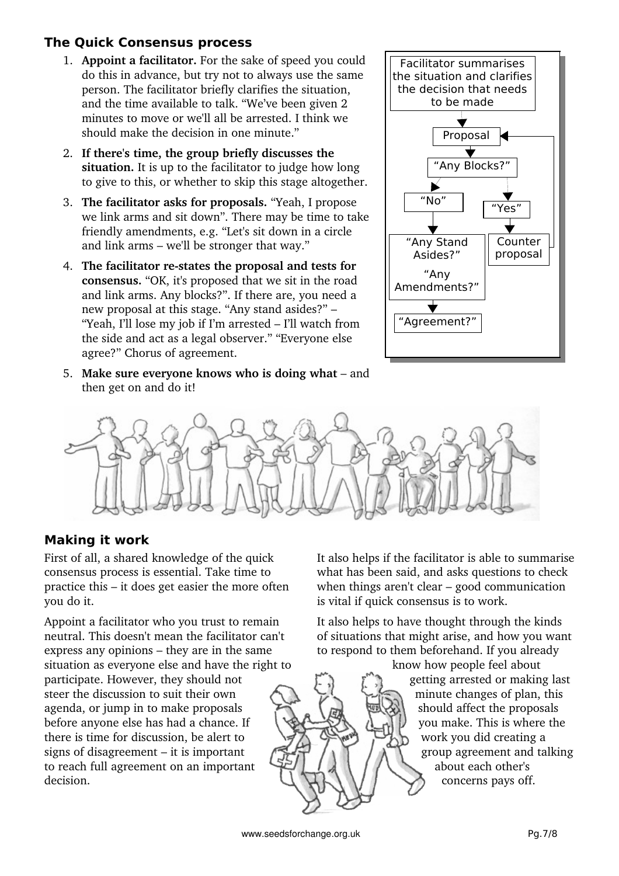### **The Quick Consensus process**

- 1. **Appoint a facilitator.** For the sake of speed you could do this in advance, but try not to always use the same person. The facilitator briefly clarifies the situation, and the time available to talk. "We've been given 2 minutes to move or we'll all be arrested. I think we should make the decision in one minute."
- 2. **If there's time, the group briefly discusses the situation.** It is up to the facilitator to judge how long to give to this, or whether to skip this stage altogether.
- 3. **The facilitator asks for proposals.** "Yeah, I propose we link arms and sit down". There may be time to take friendly amendments, e.g. "Let's sit down in a circle and link arms – we'll be stronger that way."
- 4. **The facilitator restates the proposal and tests for consensus.** "OK, it's proposed that we sit in the road and link arms. Any blocks?". If there are, you need a new proposal at this stage. "Any stand asides?" – "Yeah, I'll lose my job if I'm arrested – I'll watch from the side and act as a legal observer." "Everyone else agree?" Chorus of agreement.
- 5. **Make sure everyone knows who is doing what** and then get on and do it!





### **Making it work**

First of all, a shared knowledge of the quick consensus process is essential. Take time to practice this – it does get easier the more often you do it.

Appoint a facilitator who you trust to remain neutral. This doesn't mean the facilitator can't express any opinions – they are in the same situation as everyone else and have the right to participate. However, they should not steer the discussion to suit their own agenda, or jump in to make proposals before anyone else has had a chance. If there is time for discussion, be alert to signs of disagreement – it is important to reach full agreement on an important decision.

It also helps if the facilitator is able to summarise what has been said, and asks questions to check when things aren't clear – good communication is vital if quick consensus is to work.

It also helps to have thought through the kinds of situations that might arise, and how you want to respond to them beforehand. If you already

know how people feel about getting arrested or making last minute changes of plan, this should affect the proposals you make. This is where the work you did creating a group agreement and talking about each other's concerns pays off.